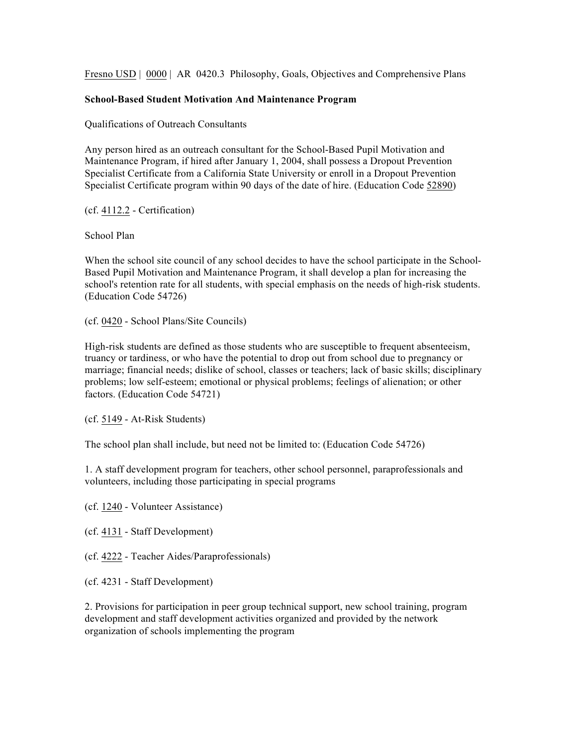Fresno USD | 0000 | AR 0420.3 Philosophy, Goals, Objectives and Comprehensive Plans

## **School-Based Student Motivation And Maintenance Program**

Qualifications of Outreach Consultants

Any person hired as an outreach consultant for the School-Based Pupil Motivation and Maintenance Program, if hired after January 1, 2004, shall possess a Dropout Prevention Specialist Certificate from a California State University or enroll in a Dropout Prevention Specialist Certificate program within 90 days of the date of hire. (Education Code 52890)

(cf. 4112.2 - Certification)

School Plan

When the school site council of any school decides to have the school participate in the School-Based Pupil Motivation and Maintenance Program, it shall develop a plan for increasing the school's retention rate for all students, with special emphasis on the needs of high-risk students. (Education Code 54726)

(cf. 0420 - School Plans/Site Councils)

High-risk students are defined as those students who are susceptible to frequent absenteeism, truancy or tardiness, or who have the potential to drop out from school due to pregnancy or marriage; financial needs; dislike of school, classes or teachers; lack of basic skills; disciplinary problems; low self-esteem; emotional or physical problems; feelings of alienation; or other factors. (Education Code 54721)

(cf. 5149 - At-Risk Students)

The school plan shall include, but need not be limited to: (Education Code 54726)

1. A staff development program for teachers, other school personnel, paraprofessionals and volunteers, including those participating in special programs

(cf. 1240 - Volunteer Assistance)

(cf. 4131 - Staff Development)

(cf. 4222 - Teacher Aides/Paraprofessionals)

(cf. 4231 - Staff Development)

2. Provisions for participation in peer group technical support, new school training, program development and staff development activities organized and provided by the network organization of schools implementing the program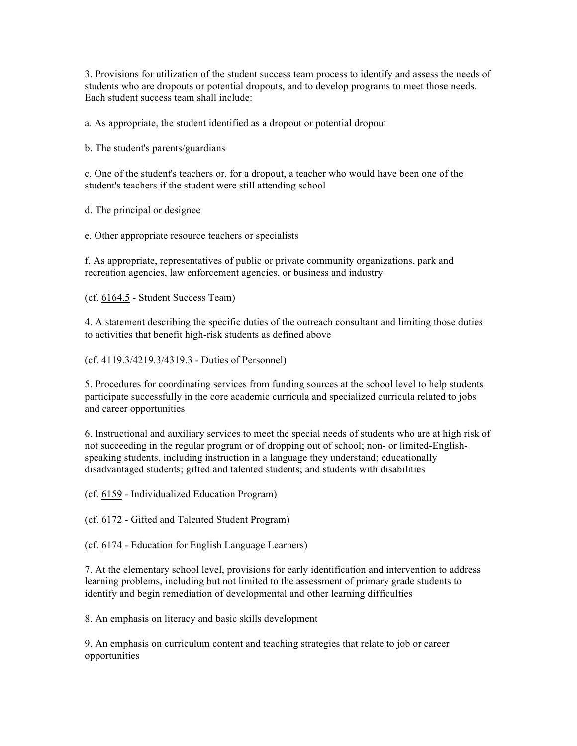3. Provisions for utilization of the student success team process to identify and assess the needs of students who are dropouts or potential dropouts, and to develop programs to meet those needs. Each student success team shall include:

a. As appropriate, the student identified as a dropout or potential dropout

b. The student's parents/guardians

c. One of the student's teachers or, for a dropout, a teacher who would have been one of the student's teachers if the student were still attending school

d. The principal or designee

e. Other appropriate resource teachers or specialists

f. As appropriate, representatives of public or private community organizations, park and recreation agencies, law enforcement agencies, or business and industry

(cf. 6164.5 - Student Success Team)

4. A statement describing the specific duties of the outreach consultant and limiting those duties to activities that benefit high-risk students as defined above

(cf. 4119.3/4219.3/4319.3 - Duties of Personnel)

5. Procedures for coordinating services from funding sources at the school level to help students participate successfully in the core academic curricula and specialized curricula related to jobs and career opportunities

6. Instructional and auxiliary services to meet the special needs of students who are at high risk of not succeeding in the regular program or of dropping out of school; non- or limited-Englishspeaking students, including instruction in a language they understand; educationally disadvantaged students; gifted and talented students; and students with disabilities

(cf. 6159 - Individualized Education Program)

(cf. 6172 - Gifted and Talented Student Program)

(cf. 6174 - Education for English Language Learners)

7. At the elementary school level, provisions for early identification and intervention to address learning problems, including but not limited to the assessment of primary grade students to identify and begin remediation of developmental and other learning difficulties

8. An emphasis on literacy and basic skills development

9. An emphasis on curriculum content and teaching strategies that relate to job or career opportunities